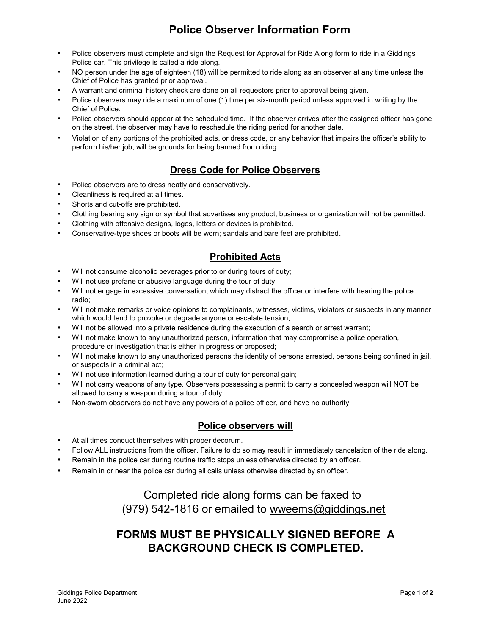# Police Observer Information Form

- Police observers must complete and sign the Request for Approval for Ride Along form to ride in a Giddings Police car. This privilege is called a ride along.
- NO person under the age of eighteen (18) will be permitted to ride along as an observer at any time unless the Chief of Police has granted prior approval.
- A warrant and criminal history check are done on all requestors prior to approval being given.
- Police observers may ride a maximum of one (1) time per six-month period unless approved in writing by the Chief of Police.
- Police observers should appear at the scheduled time. If the observer arrives after the assigned officer has gone on the street, the observer may have to reschedule the riding period for another date.
- Violation of any portions of the prohibited acts, or dress code, or any behavior that impairs the officer's ability to perform his/her job, will be grounds for being banned from riding.

### Dress Code for Police Observers

- Police observers are to dress neatly and conservatively.
- Cleanliness is required at all times.
- Shorts and cut-offs are prohibited.
- Clothing bearing any sign or symbol that advertises any product, business or organization will not be permitted.
- Clothing with offensive designs, logos, letters or devices is prohibited.
- Conservative-type shoes or boots will be worn; sandals and bare feet are prohibited.

#### Prohibited Acts

- Will not consume alcoholic beverages prior to or during tours of duty;
- Will not use profane or abusive language during the tour of duty;
- Will not engage in excessive conversation, which may distract the officer or interfere with hearing the police radio;
- Will not make remarks or voice opinions to complainants, witnesses, victims, violators or suspects in any manner which would tend to provoke or degrade anyone or escalate tension;
- Will not be allowed into a private residence during the execution of a search or arrest warrant;
- Will not make known to any unauthorized person, information that may compromise a police operation, procedure or investigation that is either in progress or proposed;
- Will not make known to any unauthorized persons the identity of persons arrested, persons being confined in jail, or suspects in a criminal act;
- Will not use information learned during a tour of duty for personal gain;
- Will not carry weapons of any type. Observers possessing a permit to carry a concealed weapon will NOT be allowed to carry a weapon during a tour of duty;
- Non-sworn observers do not have any powers of a police officer, and have no authority.

#### Police observers will

- At all times conduct themselves with proper decorum.
- Follow ALL instructions from the officer. Failure to do so may result in immediately cancelation of the ride along.
- Remain in the police car during routine traffic stops unless otherwise directed by an officer.
- Remain in or near the police car during all calls unless otherwise directed by an officer.

## Completed ride along forms can be faxed to (979) 542-1816 or emailed to wweems@giddings.net

### FORMS MUST BE PHYSICALLY SIGNED BEFORE A BACKGROUND CHECK IS COMPLETED.